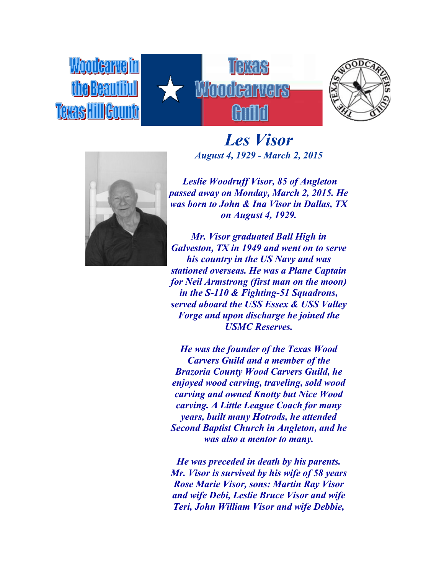Woodearie Teras HillGour





*Les Visor August 4, 1929 - March 2, 2015*

*Leslie Woodruff Visor, 85 of Angleton passed away on Monday, March 2, 2015. He was born to John & Ina Visor in Dallas, TX on August 4, 1929.*

*Mr. Visor graduated Ball High in Galveston, TX in 1949 and went on to serve his country in the US Navy and was stationed overseas. He was a Plane Captain for Neil Armstrong (first man on the moon) in the S-110 & Fighting-51 Squadrons, served aboard the USS Essex & USS Valley Forge and upon discharge he joined the USMC Reserves.*

*He was the founder of the Texas Wood Carvers Guild and a member of the Brazoria County Wood Carvers Guild, he enjoyed wood carving, traveling, sold wood carving and owned Knotty but Nice Wood carving. A Little League Coach for many years, built many Hotrods, he attended Second Baptist Church in Angleton, and he was also a mentor to many.*

*He was preceded in death by his parents. Mr. Visor is survived by his wife of 58 years Rose Marie Visor, sons: Martin Ray Visor and wife Debi, Leslie Bruce Visor and wife Teri, John William Visor and wife Debbie,*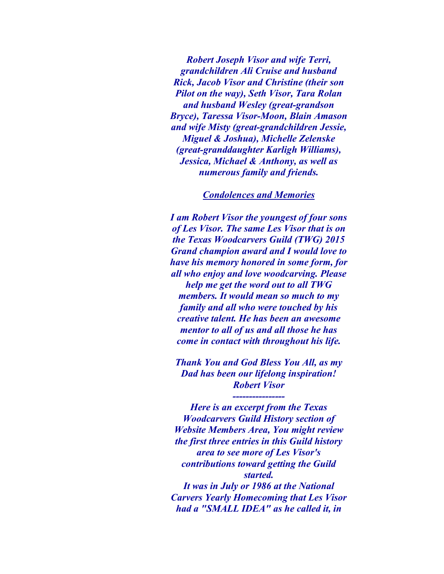*Robert Joseph Visor and wife Terri, grandchildren Ali Cruise and husband Rick, Jacob Visor and Christine (their son Pilot on the way), Seth Visor, Tara Rolan and husband Wesley (great-grandson Bryce), Taressa Visor-Moon, Blain Amason and wife Misty (great-grandchildren Jessie, Miguel & Joshua), Michelle Zelenske (great-granddaughter Karligh Williams), Jessica, Michael & Anthony, as well as numerous family and friends.*

## *Condolences and Memories*

*I am Robert Visor the youngest of four sons of Les Visor. The same Les Visor that is on the Texas Woodcarvers Guild (TWG) 2015 Grand champion award and I would love to have his memory honored in some form, for all who enjoy and love woodcarving. Please help me get the word out to all TWG members. It would mean so much to my family and all who were touched by his creative talent. He has been an awesome mentor to all of us and all those he has come in contact with throughout his life.*

*Thank You and God Bless You All, as my Dad has been our lifelong inspiration! Robert Visor*

*----------------*

*Here is an excerpt from the Texas Woodcarvers Guild History section of Website Members Area, You might review the first three entries in this Guild history area to see more of Les Visor's contributions toward getting the Guild started. It was in July or 1986 at the National Carvers Yearly Homecoming that Les Visor had a "SMALL IDEA" as he called it, in*